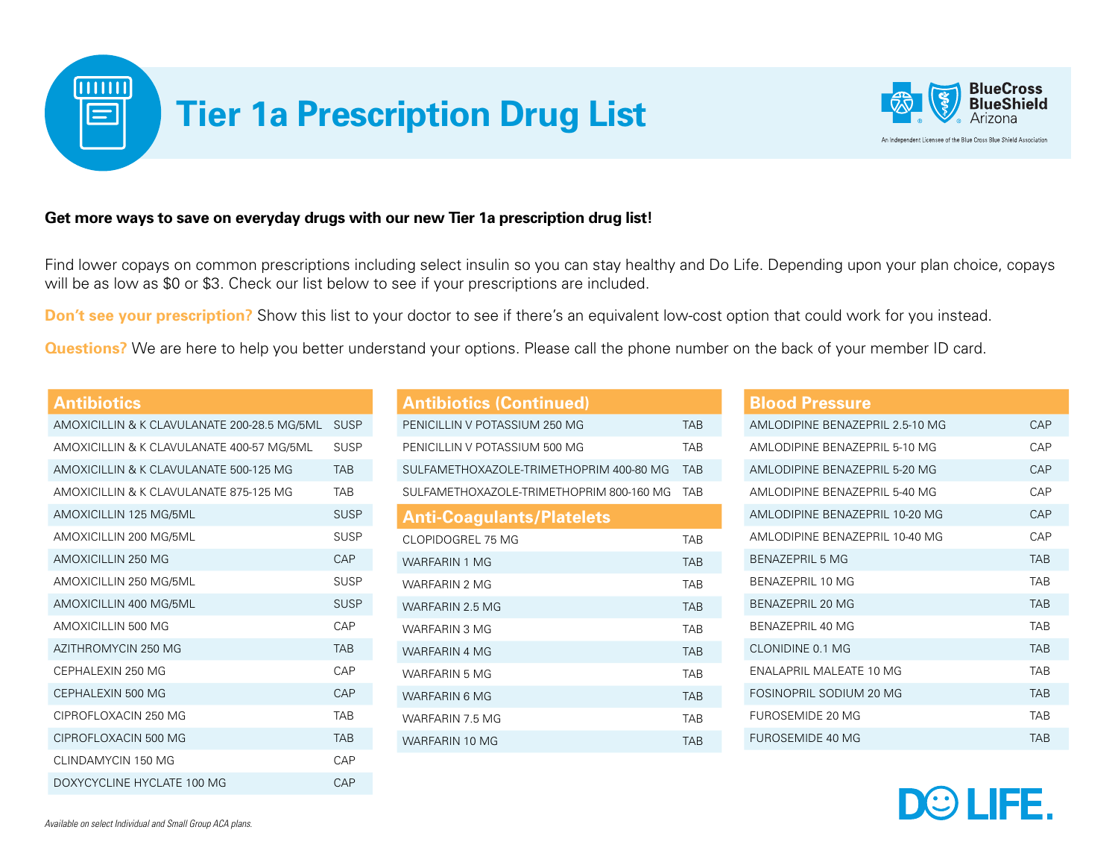

## **Get more ways to save on everyday drugs with our new Tier 1a prescription drug list!**

Find lower copays on common prescriptions including select insulin so you can stay healthy and Do Life. Depending upon your plan choice, copays will be as low as \$0 or \$3. Check our list below to see if your prescriptions are included.

**Don't see your prescription?** Show this list to your doctor to see if there's an equivalent low-cost option that could work for you instead.

**Questions?** We are here to help you better understand your options. Please call the phone number on the back of your member ID card.

|  | <b>Antibiotics</b>                          |                 |
|--|---------------------------------------------|-----------------|
|  | AMOXICILLIN & K CLAVULANATE 200-28.5 MG/5ML | <b>SUSP</b>     |
|  | AMOXICILLIN & K CLAVULANATE 400-57 MG/5ML   | SUSP            |
|  | AMOXICILLIN & K CLAVULANATE 500-125 MG      | <b>TAR</b>      |
|  | AMOXICII LIN & K CLAVULANATE 875-125 MG     | <b>TAR</b>      |
|  | AMOXICILLIN 125 MG/5ML                      | <b>SUSP</b>     |
|  | AMOXICILLIN 200 MG/5ML                      | <b>SUSP</b>     |
|  | AMOXICILLIN 250 MG                          | CAP <sub></sub> |
|  | AMOXICILLIN 250 MG/5ML                      | SUSP            |
|  | AMOXICILLIN 400 MG/5ML                      | <b>SUSP</b>     |
|  | AMOXICILLIN 500 MG                          | CAP             |
|  | AZITHROMYCIN 250 MG                         | <b>TAR</b>      |
|  | CEPHALEXIN 250 MG                           | CAP             |
|  | CEPHALEXIN 500 MG                           | CAP             |
|  | CIPROFLOXACIN 250 MG                        | <b>TAR</b>      |
|  | CIPROFI OXACIN 500 MG                       | <b>TAR</b>      |
|  | CLINDAMYCIN 150 MG                          | CAP             |
|  | DOXYCYCLINE HYCLATE 100 MG                  | CAP             |

| <b>Antibiotics (Continued)</b>           |            |
|------------------------------------------|------------|
| PENICILLIN V POTASSIUM 250 MG            | <b>TAR</b> |
| PENICILLIN V POTASSIUM 500 MG            | <b>TAR</b> |
| SULFAMETHOXAZOLE-TRIMETHOPRIM 400-80 MG  | <b>TAB</b> |
| SULFAMETHOXAZOLE-TRIMETHOPRIM 800-160 MG | <b>TAR</b> |
| <b>Anti-Coagulants/Platelets</b>         |            |
| CLOPIDOGREL 75 MG                        | <b>TAR</b> |
| <b>WARFARIN 1 MG</b>                     | <b>TAR</b> |
| WARFARIN 2 MG                            | <b>TAR</b> |
| WARFARIN 2 5 MG                          | <b>TAR</b> |
| <b>WARFARIN 3 MG</b>                     | <b>TAR</b> |
| <b>WARFARIN 4 MG</b>                     | <b>TAR</b> |
| <b>WARFARIN 5 MG</b>                     | <b>TAR</b> |
| WARFARIN 6 MG                            | <b>TAB</b> |
| WARFARIN 75 MG                           | <b>TAR</b> |
| WARFARIN 10 MG                           | <b>TAR</b> |

## **Blood Pressure**

| AMLODIPINE BENAZEPRIL 2.5-10 MG | CAP        |
|---------------------------------|------------|
| AMI ODIPINE BENAZEPRIL 5-10 MG  | <b>CAP</b> |
| AMI ODIPINE BENAZEPRIL 5-20 MG  | <b>CAP</b> |
| AMLODIPINE BENAZEPRIL 5-40 MG   | <b>CAP</b> |
| AMLODIPINE BENAZEPRIL 10-20 MG  | <b>CAP</b> |
| AMI ODIPINE BENAZEPRIL 10-40 MG | <b>CAP</b> |
| <b>BENAZEPRIL 5 MG</b>          | <b>TAB</b> |
| <b>BENAZEPRIL 10 MG</b>         | <b>TAR</b> |
| BENAZEPRIL 20 MG                | <b>TAB</b> |
| BENAZEPRIL 40 MG                | <b>TAR</b> |
| CLONIDINE 0.1 MG                | <b>TAR</b> |
| ENALAPRIL MALEATE 10 MG         | <b>TAR</b> |
| FOSINOPRIL SODIUM 20 MG         | <b>TAB</b> |
| FUROSEMIDE 20 MG                | <b>TAR</b> |
| FUROSEMIDE 40 MG                | <b>TAB</b> |